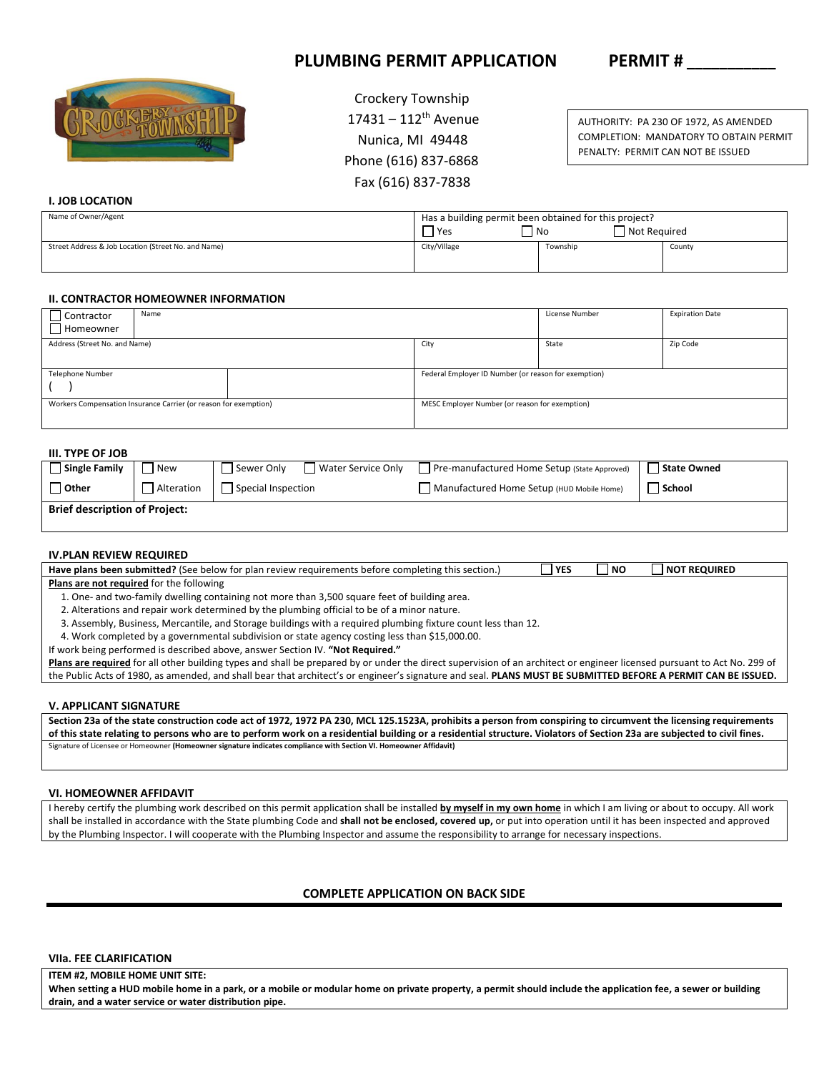# PLUMBING PERMIT APPLICATION PERMIT #



 Crockery Township  $17431 - 112$ <sup>th</sup> Avenue Nunica, MI 49448 Phone (616) 837‐6868 Fax (616) 837‐7838

AUTHORITY: PA 230 OF 1972, AS AMENDED COMPLETION: MANDATORY TO OBTAIN PERMIT PENALTY: PERMIT CAN NOT BE ISSUED

# **I. JOB LOCATION**

| Name of Owner/Agent                                 | Has a building permit been obtained for this project?<br>Not Required<br>  No<br>'Yes |          |        |
|-----------------------------------------------------|---------------------------------------------------------------------------------------|----------|--------|
| Street Address & Job Location (Street No. and Name) | City/Village                                                                          | Township | County |

## **II. CONTRACTOR HOMEOWNER INFORMATION**

| Contractor<br>Homeowner                                          | Name |  | License Number                                       | <b>Expiration Date</b> |          |  |
|------------------------------------------------------------------|------|--|------------------------------------------------------|------------------------|----------|--|
| Address (Street No. and Name)                                    |      |  | City                                                 | State                  | Zip Code |  |
| Telephone Number                                                 |      |  | Federal Employer ID Number (or reason for exemption) |                        |          |  |
| Workers Compensation Insurance Carrier (or reason for exemption) |      |  | MESC Employer Number (or reason for exemption)       |                        |          |  |

## **III. TYPE OF JOB**

| U. JUU                               |              |                    |                    |                                              |               |
|--------------------------------------|--------------|--------------------|--------------------|----------------------------------------------|---------------|
| Single Family                        | New          | l Sewer Only       | Water Service Only | Pre-manufactured Home Setup (State Approved) | State Owned   |
| <b>Other</b>                         | l Alteration | Special Inspection |                    | Manufactured Home Setup (HUD Mobile Home)    | <b>School</b> |
| <b>Brief description of Project:</b> |              |                    |                    |                                              |               |

### **IV.PLAN REVIEW REQUIRED**

| Have plans been submitted? (See below for plan review requirements before completing this section.)           | $\sqcap$ YES | l NO | <b>NOT REQUIRED</b> |  |
|---------------------------------------------------------------------------------------------------------------|--------------|------|---------------------|--|
| Plans are not required for the following                                                                      |              |      |                     |  |
| 1. One- and two-family dwelling containing not more than 3,500 square feet of building area.                  |              |      |                     |  |
| 2. Alterations and repair work determined by the plumbing official to be of a minor nature.                   |              |      |                     |  |
| 3. Assembly, Business, Mercantile, and Storage buildings with a required plumbing fixture count less than 12. |              |      |                     |  |
| 4. Work completed by a governmental subdivision or state agency costing less than \$15,000.00.                |              |      |                     |  |
| If work being performed is described above, answer Section IV. "Not Required."                                |              |      |                     |  |
|                                                                                                               |              |      |                     |  |

Plans are required for all other building types and shall be prepared by or under the direct supervision of an architect or engineer licensed pursuant to Act No. 299 of the Public Acts of 1980, as amended, and shall bear that architect's or engineer's signature and seal. **PLANS MUST BE SUBMITTED BEFORE A PERMIT CAN BE ISSUED.** 

#### **V. APPLICANT SIGNATURE**

**Section 23a of the state construction code act of 1972, 1972 PA 230, MCL 125.1523A, prohibits a person from conspiring to circumvent the licensing requirements of this state relating to persons who are to perform work on a residential building or a residential structure. Violators of Section 23a are subjected to civil fines.**  Signature of Licensee or Homeowner **(Homeowner signature indicates compliance with Section VI. Homeowner Affidavit)**

#### **VI. HOMEOWNER AFFIDAVIT**

I hereby certify the plumbing work described on this permit application shall be installed **by myself in my own home** in which I am living or about to occupy. All work shall be installed in accordance with the State plumbing Code and **shall not be enclosed, covered up,** or put into operation until it has been inspected and approved by the Plumbing Inspector. I will cooperate with the Plumbing Inspector and assume the responsibility to arrange for necessary inspections.

### **COMPLETE APPLICATION ON BACK SIDE**

#### **VIIa. FEE CLARIFICATION**

**ITEM #2, MOBILE HOME UNIT SITE:** 

**When setting a HUD mobile home in a park, or a mobile or modular home on private property, a permit should include the application fee, a sewer or building drain, and a water service or water distribution pipe.**